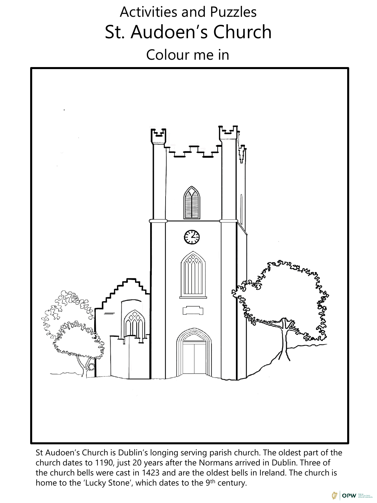# Activities and Puzzles St. Audoen's Church Colour me in



St Audoen's Church is Dublin's longing serving parish church. The oldest part of the church dates to 1190, just 20 years after the Normans arrived in Dublin. Three of the church bells were cast in 1423 and are the oldest bells in Ireland. The church is home to the 'Lucky Stone', which dates to the 9<sup>th</sup> century.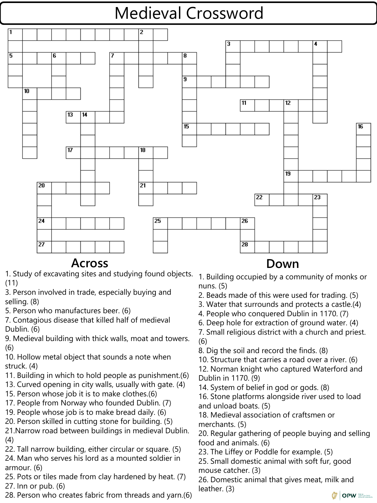# Medieval Crossword



### **Across Down**

- 1. Study of excavating sites and studying found objects. 1. Building occupied by a community of monks or (11)
- 3. Person involved in trade, especially buying and selling. (8)
- 5. Person who manufactures beer. (6)
- 7. Contagious disease that killed half of medieval Dublin. (6)
- 9. Medieval building with thick walls, moat and towers. (6)
- 10. Hollow metal object that sounds a note when struck. (4)
- 11. Building in which to hold people as punishment.(6)
- 13. Curved opening in city walls, usually with gate. (4)
- 15. Person whose job it is to make clothes.(6)
- 17. People from Norway who founded Dublin. (7)
- 19. People whose job is to make bread daily. (6)
- 20. Person skilled in cutting stone for building. (5)
- 21.Narrow road between buildings in medieval Dublin. (4)
- 22. Tall narrow building, either circular or square. (5)
- 24. Man who serves his lord as a mounted soldier in armour. (6)
- 25. Pots or tiles made from clay hardened by heat. (7) 27. Inn or pub. (6)
- 28. Person who creates fabric from threads and yarn.(6)

- nuns. (5)
- 2. Beads made of this were used for trading. (5)
- 3. Water that surrounds and protects a castle.(4)
- 4. People who conquered Dublin in 1170. (7)
- 6. Deep hole for extraction of ground water. (4) 7. Small religious district with a church and priest. (6)
- 8. Dig the soil and record the finds. (8)
- 10. Structure that carries a road over a river. (6)
- 12. Norman knight who captured Waterford and Dublin in 1170. (9)
- 14. System of belief in god or gods. (8)
- 16. Stone platforms alongside river used to load and unload boats. (5)
- 18. Medieval association of craftsmen or merchants. (5)
- 20. Regular gathering of people buying and selling food and animals. (6)
- 23. The Liffey or Poddle for example. (5)
- 25. Small domestic animal with soft fur, good mouse catcher. (3)
- 26. Domestic animal that gives meat, milk and leather. (3)

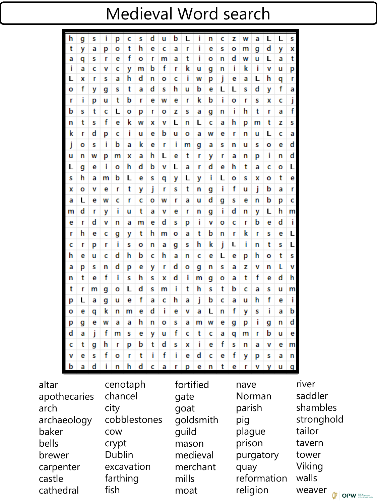## Medieval Word search

|                             | h                       | g          | s  | Ĩ  | р    | c        | s | d           | u         | b    | L         | Ť     | n            | c                  | z      | w          | a                | L             | L | s |  |  |  |
|-----------------------------|-------------------------|------------|----|----|------|----------|---|-------------|-----------|------|-----------|-------|--------------|--------------------|--------|------------|------------------|---------------|---|---|--|--|--|
|                             | t                       | y          | a  | р  | о    | t        | h | е           | c         | a    | r         | Ĩ     | е            | s                  | о      | m          | g                | d             | У | x |  |  |  |
|                             | a                       | q          | s  | r  | е    | f        | о | r           | m         | a    | t         | Ĩ.    | о            | n                  | d      | w          | u                | L             | a | t |  |  |  |
|                             | i                       | a          | c  | v  | c    | v        | m | b           | f         | r    | k         | u     | g            | n                  | Ĩ.     | ĸ          | Ť                | v             | u | р |  |  |  |
|                             | L                       | x          | r  | s  | а    | h        | d | n           | о         | c    | Ĩ.        | w     | р            | j                  | е      | a          | L                | h             | q | r |  |  |  |
|                             | о                       | f          | У  | g  | s    | t        | а | d           | s         | h    | u         | b     | e            | L                  | L      | s          | d                | y             | f | a |  |  |  |
|                             | r                       | Ť          | р  | u  | t    | b        | r | е           | w         | е    | r         | k     | b            | Î.                 | о      | r          | s                | x             | c | j |  |  |  |
|                             | b                       | s          | t  | c  | L    | о        | р | r           | о         | z    | s         | a     | g            | n                  | Ĩ.     | h          | τ                | r             | a | f |  |  |  |
|                             | n                       | t          | s  | f  | е    | k        | w | x           | v         | L    | n         | L     | c            | a                  | h      | р          | m                | t             | z | s |  |  |  |
|                             | k                       | r          | d  | р  | c    | Ĩ.       | u | е           | b         | u    | о         | a     | w            | е                  | r      | n          | u                | L             | c | a |  |  |  |
|                             | j                       | О          | s  | ĩ  | b    | a        | k | е           | r         | Ť    | m         | g     | а            | s                  | n      | u          | s                | о             | е | d |  |  |  |
|                             | u                       | n          | w  | р  | m    | x        | a | h           | L         | е    | t         | r     | У            | r                  | a      | n          | р                | Î.            | n | d |  |  |  |
|                             | L                       | g          | е  | i  | о    | h        | d | b           | v         | L    | a         | r     | d            | е                  | h      | t          | a                | c             | о | L |  |  |  |
|                             | s                       | h          | a  | m  | b    | L        | е | s           | q         | у    | L         | У     | ÷            | L                  | о      | s          | x                | О             | t | е |  |  |  |
|                             | x                       | о          | v  | е  | r    | t        | У | J           | r         | s    | t         | n     | g            | Î.                 | f      | u          | j                | b             | a | r |  |  |  |
|                             | а                       | L          | е  | w  | c    | r        | c | о           | w         | r    | а         | u     | d            | g                  | s      | е          | n                | b             | р | c |  |  |  |
|                             | m                       | d          | r  | У  | Ť    | u        | t | a           | v         | е    | r         | n     | g            | i                  | d      | n          | y                | L             | h | m |  |  |  |
|                             | е                       | r          | d  | v  | n    | a        | m | е           | d         | s    | р         | Ĩ.    | v            | о                  | с      | r          | b                | е             | d | Ť |  |  |  |
|                             | r                       | h          | е  | c  | g    | У        | t | h           | m         | o    | a         | t     | b            | n                  | r      | k          | r                | s             | е | L |  |  |  |
|                             | c                       | r          | р  | r  | Ť    | s        | о | n           | a         | g    | s         | h     | k            | j                  | L      | Ť          | n                | t             | s | L |  |  |  |
|                             | h                       | е          | u  | c  | d    | h        | b | c           | h         | a    | n         | c     | е            | L                  | е      | р          | h                | o             | t | s |  |  |  |
|                             | a                       | р          | s  | n  | d    | р        | е | У           | r         | d    | о         | q     | n            | s                  | a      | z          | v                | n             | L | v |  |  |  |
|                             | n                       | t          | е  | f  | Ť    | s        | h | s           | x         | d    | Ť         | m     | g            | О                  | a      | t          | f                | е             | d | h |  |  |  |
|                             | t                       | r          | m  | g  | о    | L        | d | s           | m         | Ĩ.   | t         | h     | s            | t                  | b      | c          | a                | s             | u | m |  |  |  |
|                             | р                       | L          | a  | g  | u    | е        | f | a           | c         | h    | a         | Ĵ     | b            | c                  | a      | u          | h                | f             | е | Ĩ |  |  |  |
|                             | о                       | е          | q  | ĸ  | n    | m        | е | d           | Ť         | е    | v         | а     | L            | n                  | f      | У          | s                | Î.            | a | b |  |  |  |
|                             | р                       | g          | е  | w  | a    | a        | h | n           | о         | s    | a         | m     | w            | е                  | g      | р          | т                | g             | n | d |  |  |  |
|                             | d                       | a          | j. | f  | m    | s        | е | y           | u         | f    | c         | t     | c            | a                  | q      | m          | r                | b             | u | е |  |  |  |
|                             | C                       | t          | g  | h  | r    | p        | b | $\mathbf t$ | d         | s    | χ         | j.    | e            | f                  | S      | n          | а                | v             | е | m |  |  |  |
|                             | v                       | е          | S  | f  | O    | r        | t | i           | f         | i    | e         | d     | C            | е                  | f      | y          | р                | s             | a | n |  |  |  |
|                             | b                       | a          | d  | i. | n    | h        | d | C           | a         | r    | p         | е     | n            | t                  | е      | r          | v                | У             | u | g |  |  |  |
| altar<br>cenotaph           |                         |            |    |    |      |          |   |             |           |      | fortified |       |              |                    |        | ri<br>nave |                  |               |   |   |  |  |  |
|                             | chancel<br>apothecaries |            |    |    |      |          |   |             |           | gate |           |       |              |                    | Norman |            |                  |               |   |   |  |  |  |
| arch<br>city                |                         |            |    |    |      |          |   |             | goat      |      |           |       |              | sa<br>parish<br>sŀ |        |            |                  |               |   |   |  |  |  |
| cobblestones<br>archaeology |                         |            |    |    |      |          |   |             | goldsmith |      |           |       |              | st<br>pig          |        |            |                  |               |   |   |  |  |  |
| baker                       |                         | COW        |    |    |      |          |   | quild       |           |      |           |       | plague<br>ta |                    |        |            |                  |               |   |   |  |  |  |
| bells                       |                         |            |    |    |      |          |   |             |           |      |           |       |              |                    |        |            | ta               |               |   |   |  |  |  |
|                             |                         |            |    |    |      | crypt    |   |             |           |      |           | mason |              |                    |        |            | prison           |               |   |   |  |  |  |
| brewer                      |                         | Dublin     |    |    |      |          |   | medieval    |           |      |           |       | purgatory    |                    |        |            |                  |               |   |   |  |  |  |
| carpenter                   |                         | excavation |    |    |      |          |   | merchant    |           |      |           |       | Vi<br>quay   |                    |        |            |                  |               |   |   |  |  |  |
| castle                      |                         |            |    |    |      | farthing |   |             |           |      |           | mills |              |                    |        |            | reformation<br>W |               |   |   |  |  |  |
| cathedral                   |                         |            |    |    | fish |          |   |             |           |      |           | moat  |              |                    |        |            |                  | religion<br>W |   |   |  |  |  |

ver saddler hambles tronghold ilor ivern wer iking alls weaver

**OPW**